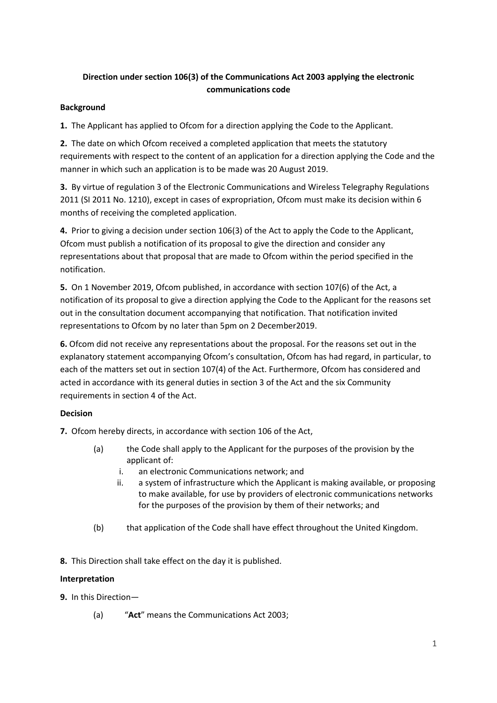# **Direction under section 106(3) of the Communications Act 2003 applying the electronic communications code**

## **Background**

**1.** The Applicant has applied to Ofcom for a direction applying the Code to the Applicant.

**2.** The date on which Ofcom received a completed application that meets the statutory requirements with respect to the content of an application for a direction applying the Code and the manner in which such an application is to be made was 20 August 2019.

**3.** By virtue of regulation 3 of the Electronic Communications and Wireless Telegraphy Regulations 2011 (SI 2011 No. 1210), except in cases of expropriation, Ofcom must make its decision within 6 months of receiving the completed application.

**4.** Prior to giving a decision under section 106(3) of the Act to apply the Code to the Applicant, Ofcom must publish a notification of its proposal to give the direction and consider any representations about that proposal that are made to Ofcom within the period specified in the notification.

**5.** On 1 November 2019, Ofcom published, in accordance with section 107(6) of the Act, a notification of its proposal to give a direction applying the Code to the Applicant for the reasons set out in the consultation document accompanying that notification. That notification invited representations to Ofcom by no later than 5pm on 2 December2019.

**6.** Ofcom did not receive any representations about the proposal. For the reasons set out in the explanatory statement accompanying Ofcom's consultation, Ofcom has had regard, in particular, to each of the matters set out in section 107(4) of the Act. Furthermore, Ofcom has considered and acted in accordance with its general duties in section 3 of the Act and the six Community requirements in section 4 of the Act.

## **Decision**

**7.** Ofcom hereby directs, in accordance with section 106 of the Act,

- (a) the Code shall apply to the Applicant for the purposes of the provision by the applicant of:
	- i. an electronic Communications network; and
	- ii. a system of infrastructure which the Applicant is making available, or proposing to make available, for use by providers of electronic communications networks for the purposes of the provision by them of their networks; and
- (b) that application of the Code shall have effect throughout the United Kingdom.

**8.** This Direction shall take effect on the day it is published.

## **Interpretation**

**9.** In this Direction—

(a) "**Act**" means the Communications Act 2003;